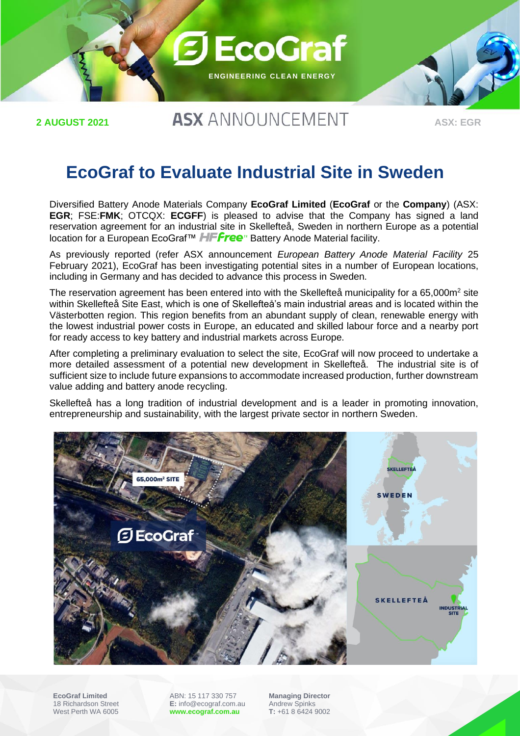

**2 AUGUST 2021**

# **ASX ANNOUNCEMENT**

**ASX: EGR**

## **EcoGraf to Evaluate Industrial Site in Sweden**

Diversified Battery Anode Materials Company **EcoGraf Limited** (**EcoGraf** or the **Company**) (ASX: **EGR**; FSE:**FMK**; OTCQX: **ECGFF**) is pleased to advise that the Company has signed a land reservation agreement for an industrial site in Skellefteå, Sweden in northern Europe as a potential location for a European EcoGraf™ HFFree<sup>™</sup> Battery Anode Material facility.

As previously reported (refer ASX announcement *European Battery Anode Material Facility* 25 February 2021), EcoGraf has been investigating potential sites in a number of European locations, including in Germany and has decided to advance this process in Sweden.

The reservation agreement has been entered into with the Skellefteå municipality for a 65,000m<sup>2</sup> site within Skellefteå Site East, which is one of Skellefteå's main industrial areas and is located within the Västerbotten region. This region benefits from an abundant supply of clean, renewable energy with the lowest industrial power costs in Europe, an educated and skilled labour force and a nearby port for ready access to key battery and industrial markets across Europe.

After completing a preliminary evaluation to select the site, EcoGraf will now proceed to undertake a more detailed assessment of a potential new development in Skellefteå. The industrial site is of sufficient size to include future expansions to accommodate increased production, further downstream value adding and battery anode recycling.

Skellefteå has a long tradition of industrial development and is a leader in promoting innovation, entrepreneurship and sustainability, with the largest private sector in northern Sweden.



**EcoGraf Limited** 18 Richardson Street West Perth WA 6005

ABN: 15 117 330 757 **E:** info@ecograf.com.au **[www.ecograf.com.au](http://www.ecograf.com.au/)**

**Managing Director** Andrew Spinks **T:** +61 8 6424 9002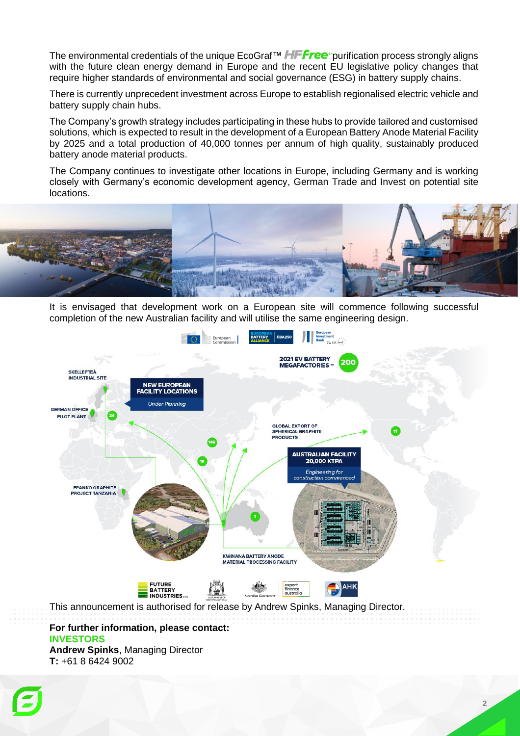The environmental credentials of the unique EcoGraf<sup>TM</sup> **HFFree** purification process strongly aligns with the future clean energy demand in Europe and the recent EU legislative policy changes that require higher standards of environmental and social governance (ESG) in battery supply chains.

There is currently unprecedent investment across Europe to establish regionalised electric vehicle and battery supply chain hubs.

The Company's growth strategy includes participating in these hubs to provide tailored and customised solutions, which is expected to result in the development of a European Battery Anode Material Facility by 2025 and a total production of 40,000 tonnes per annum of high quality, sustainably produced battery anode material products.

The Company continues to investigate other locations in Europe, including Germany and is working closely with Germany's economic development agency, German Trade and Invest on potential site locations.



It is envisaged that development work on a European site will commence following successful completion of the new Australian facility and will utilise the same engineering design.



This announcement is authorised for release by Andrew Spinks, Managing Director.

#### **For further information, please contact: INVESTORS Andrew Spinks**, Managing Director **T:** +61 8 6424 9002